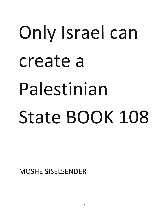## Only Israel can create a Palestinian State BOOK 108

MOSHE SISELSENDER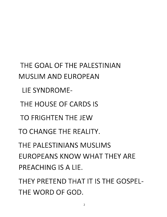THE GOAL OF THE PALESTINIAN MUSLIM AND EUROPEAN LIE SYNDROME-THE HOUSE OF CARDS IS TO FRIGHTEN THE JEW TO CHANGE THE REALITY. THE PALESTINIANS MUSLIMS EUROPEANS KNOW WHAT THEY ARE PREACHING IS A LIE.

THEY PRETEND THAT IT IS THE GOSPEL-THE WORD OF GOD.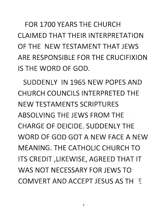FOR 1700 YEARS THE CHURCH CLAIMED THAT THEIR INTERPRETATION OF THE NEW TESTAMENT THAT JEWS ARE RESPONSIBLE FOR THE CRUCIFIXION IS THE WORD OF GOD.

SUDDENLY IN 1965 NEW POPES AND CHURCH COUNCILS INTERPRETED THE NEW TESTAMENTS SCRIPTURES ABSOLVING THE JEWS FROM THE CHARGE OF DEICIDE. SUDDENLY THE WORD OF GOD GOT A NEW FACE A NEW MEANING. THE CATHOLIC CHURCH TO ITS CREDIT ,LIKEWISE, AGREED THAT IT WAS NOT NECESSARY FOR JEWS TO COMVERT AND ACCEPT JESUS AS THE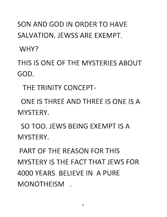## SON AND GOD IN ORDER TO HAVE SALVATION. JEWSS ARE EXEMPT.

WHY?

THIS IS ONE OF THE MYSTERIES ABOUT GOD.

THE TRINITY CONCEPT-

ONE IS THREE AND THREE IS ONE IS A MYSTERY.

SO TOO. JEWS BEING EXEMPT IS A MYSTERY.

PART OF THE REASON FOR THIS MYSTERY IS THE FACT THAT JEWS FOR 4000 YEARS BELIEVE IN A PURE MONOTHEISM .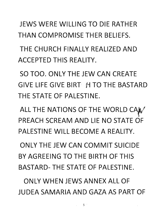JEWS WERE WILLING TO DIE RATHER THAN COMPROMISE THER BELIEFS.

THE CHURCH FINALLY REALIZED AND ACCEPTED THIS REALITY.

SO TOO. ONLY THE JEW CAN CREATE GIVE LIFE GIVE BIRT *M* TO THE BASTARD THE STATE OF PALESTINE.

ALL THE NATIONS OF THE WORLD CAN PREACH SCREAM AND LIE NO STATE OF PALESTINE WILL BECOME A REALITY.

ONLY THE JEW CAN COMMIT SUICIDE BY AGREEING TO THE BIRTH OF THIS BASTARD- THE STATE OF PALESTINE.

ONLY WHEN JEWS ANNEX ALL OF JUDEA SAMARIA AND GAZA AS PART OF